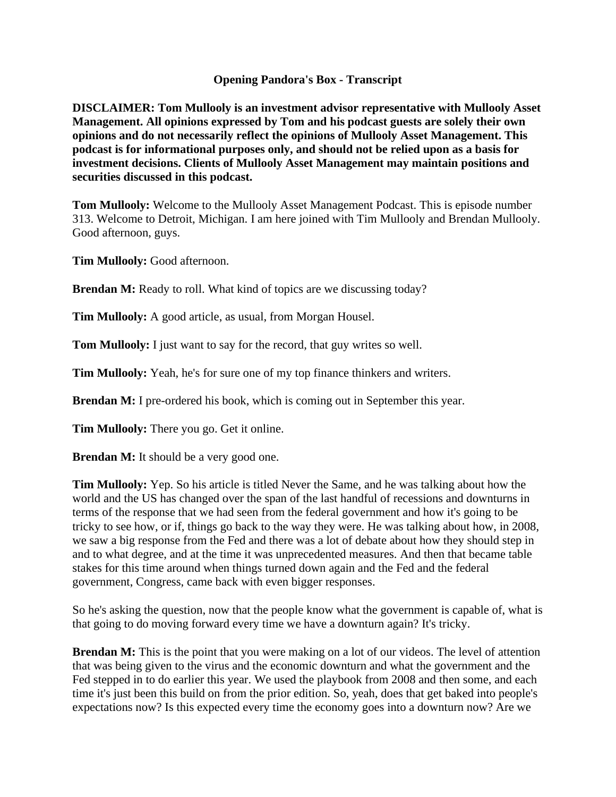## **Opening Pandora's Box - Transcript**

**DISCLAIMER: Tom Mullooly is an investment advisor representative with Mullooly Asset Management. All opinions expressed by Tom and his podcast guests are solely their own opinions and do not necessarily reflect the opinions of Mullooly Asset Management. This podcast is for informational purposes only, and should not be relied upon as a basis for investment decisions. Clients of Mullooly Asset Management may maintain positions and securities discussed in this podcast.**

**Tom Mullooly:** Welcome to the Mullooly Asset Management Podcast. This is episode number 313. Welcome to Detroit, Michigan. I am here joined with Tim Mullooly and Brendan Mullooly. Good afternoon, guys.

**Tim Mullooly:** Good afternoon.

**Brendan M:** Ready to roll. What kind of topics are we discussing today?

**Tim Mullooly:** A good article, as usual, from Morgan Housel.

**Tom Mullooly:** I just want to say for the record, that guy writes so well.

**Tim Mullooly:** Yeah, he's for sure one of my top finance thinkers and writers.

**Brendan M:** I pre-ordered his book, which is coming out in September this year.

**Tim Mullooly:** There you go. Get it online.

**Brendan M:** It should be a very good one.

**Tim Mullooly:** Yep. So his article is titled Never the Same, and he was talking about how the world and the US has changed over the span of the last handful of recessions and downturns in terms of the response that we had seen from the federal government and how it's going to be tricky to see how, or if, things go back to the way they were. He was talking about how, in 2008, we saw a big response from the Fed and there was a lot of debate about how they should step in and to what degree, and at the time it was unprecedented measures. And then that became table stakes for this time around when things turned down again and the Fed and the federal government, Congress, came back with even bigger responses.

So he's asking the question, now that the people know what the government is capable of, what is that going to do moving forward every time we have a downturn again? It's tricky.

**Brendan M:** This is the point that you were making on a lot of our videos. The level of attention that was being given to the virus and the economic downturn and what the government and the Fed stepped in to do earlier this year. We used the playbook from 2008 and then some, and each time it's just been this build on from the prior edition. So, yeah, does that get baked into people's expectations now? Is this expected every time the economy goes into a downturn now? Are we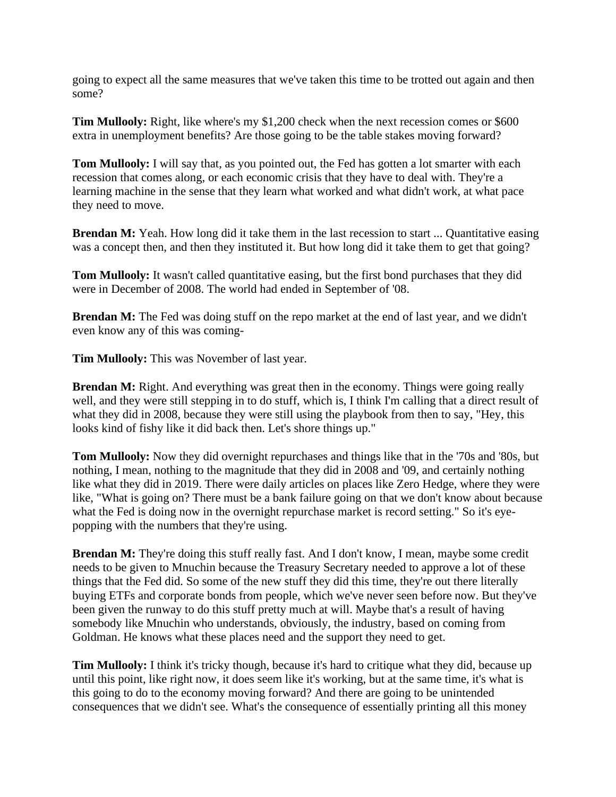going to expect all the same measures that we've taken this time to be trotted out again and then some?

**Tim Mullooly:** Right, like where's my \$1,200 check when the next recession comes or \$600 extra in unemployment benefits? Are those going to be the table stakes moving forward?

**Tom Mullooly:** I will say that, as you pointed out, the Fed has gotten a lot smarter with each recession that comes along, or each economic crisis that they have to deal with. They're a learning machine in the sense that they learn what worked and what didn't work, at what pace they need to move.

**Brendan M:** Yeah. How long did it take them in the last recession to start ... Quantitative easing was a concept then, and then they instituted it. But how long did it take them to get that going?

**Tom Mullooly:** It wasn't called quantitative easing, but the first bond purchases that they did were in December of 2008. The world had ended in September of '08.

**Brendan M:** The Fed was doing stuff on the repo market at the end of last year, and we didn't even know any of this was coming-

**Tim Mullooly:** This was November of last year.

**Brendan M:** Right. And everything was great then in the economy. Things were going really well, and they were still stepping in to do stuff, which is, I think I'm calling that a direct result of what they did in 2008, because they were still using the playbook from then to say, "Hey, this looks kind of fishy like it did back then. Let's shore things up."

**Tom Mullooly:** Now they did overnight repurchases and things like that in the '70s and '80s, but nothing, I mean, nothing to the magnitude that they did in 2008 and '09, and certainly nothing like what they did in 2019. There were daily articles on places like Zero Hedge, where they were like, "What is going on? There must be a bank failure going on that we don't know about because what the Fed is doing now in the overnight repurchase market is record setting." So it's eyepopping with the numbers that they're using.

**Brendan M:** They're doing this stuff really fast. And I don't know, I mean, maybe some credit needs to be given to Mnuchin because the Treasury Secretary needed to approve a lot of these things that the Fed did. So some of the new stuff they did this time, they're out there literally buying ETFs and corporate bonds from people, which we've never seen before now. But they've been given the runway to do this stuff pretty much at will. Maybe that's a result of having somebody like Mnuchin who understands, obviously, the industry, based on coming from Goldman. He knows what these places need and the support they need to get.

**Tim Mullooly:** I think it's tricky though, because it's hard to critique what they did, because up until this point, like right now, it does seem like it's working, but at the same time, it's what is this going to do to the economy moving forward? And there are going to be unintended consequences that we didn't see. What's the consequence of essentially printing all this money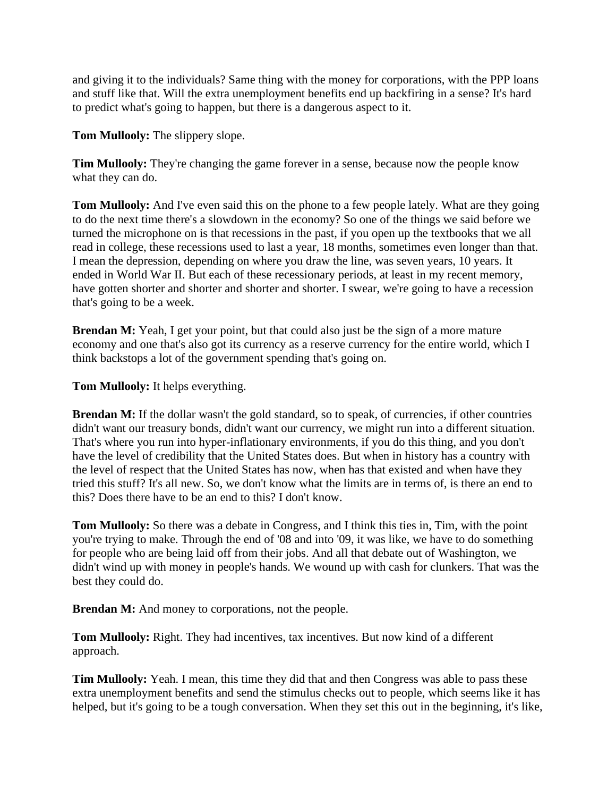and giving it to the individuals? Same thing with the money for corporations, with the PPP loans and stuff like that. Will the extra unemployment benefits end up backfiring in a sense? It's hard to predict what's going to happen, but there is a dangerous aspect to it.

**Tom Mullooly:** The slippery slope.

**Tim Mullooly:** They're changing the game forever in a sense, because now the people know what they can do.

**Tom Mullooly:** And I've even said this on the phone to a few people lately. What are they going to do the next time there's a slowdown in the economy? So one of the things we said before we turned the microphone on is that recessions in the past, if you open up the textbooks that we all read in college, these recessions used to last a year, 18 months, sometimes even longer than that. I mean the depression, depending on where you draw the line, was seven years, 10 years. It ended in World War II. But each of these recessionary periods, at least in my recent memory, have gotten shorter and shorter and shorter and shorter. I swear, we're going to have a recession that's going to be a week.

**Brendan M:** Yeah, I get your point, but that could also just be the sign of a more mature economy and one that's also got its currency as a reserve currency for the entire world, which I think backstops a lot of the government spending that's going on.

**Tom Mullooly:** It helps everything.

**Brendan M:** If the dollar wasn't the gold standard, so to speak, of currencies, if other countries didn't want our treasury bonds, didn't want our currency, we might run into a different situation. That's where you run into hyper-inflationary environments, if you do this thing, and you don't have the level of credibility that the United States does. But when in history has a country with the level of respect that the United States has now, when has that existed and when have they tried this stuff? It's all new. So, we don't know what the limits are in terms of, is there an end to this? Does there have to be an end to this? I don't know.

**Tom Mullooly:** So there was a debate in Congress, and I think this ties in, Tim, with the point you're trying to make. Through the end of '08 and into '09, it was like, we have to do something for people who are being laid off from their jobs. And all that debate out of Washington, we didn't wind up with money in people's hands. We wound up with cash for clunkers. That was the best they could do.

**Brendan M:** And money to corporations, not the people.

**Tom Mullooly:** Right. They had incentives, tax incentives. But now kind of a different approach.

**Tim Mullooly:** Yeah. I mean, this time they did that and then Congress was able to pass these extra unemployment benefits and send the stimulus checks out to people, which seems like it has helped, but it's going to be a tough conversation. When they set this out in the beginning, it's like,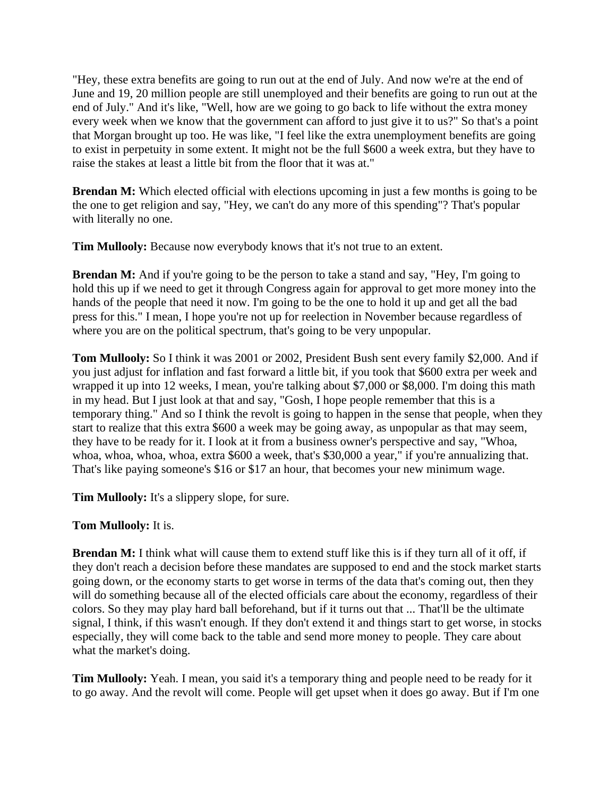"Hey, these extra benefits are going to run out at the end of July. And now we're at the end of June and 19, 20 million people are still unemployed and their benefits are going to run out at the end of July." And it's like, "Well, how are we going to go back to life without the extra money every week when we know that the government can afford to just give it to us?" So that's a point that Morgan brought up too. He was like, "I feel like the extra unemployment benefits are going to exist in perpetuity in some extent. It might not be the full \$600 a week extra, but they have to raise the stakes at least a little bit from the floor that it was at."

**Brendan M:** Which elected official with elections upcoming in just a few months is going to be the one to get religion and say, "Hey, we can't do any more of this spending"? That's popular with literally no one.

**Tim Mullooly:** Because now everybody knows that it's not true to an extent.

**Brendan M:** And if you're going to be the person to take a stand and say, "Hey, I'm going to hold this up if we need to get it through Congress again for approval to get more money into the hands of the people that need it now. I'm going to be the one to hold it up and get all the bad press for this." I mean, I hope you're not up for reelection in November because regardless of where you are on the political spectrum, that's going to be very unpopular.

**Tom Mullooly:** So I think it was 2001 or 2002, President Bush sent every family \$2,000. And if you just adjust for inflation and fast forward a little bit, if you took that \$600 extra per week and wrapped it up into 12 weeks, I mean, you're talking about \$7,000 or \$8,000. I'm doing this math in my head. But I just look at that and say, "Gosh, I hope people remember that this is a temporary thing." And so I think the revolt is going to happen in the sense that people, when they start to realize that this extra \$600 a week may be going away, as unpopular as that may seem, they have to be ready for it. I look at it from a business owner's perspective and say, "Whoa, whoa, whoa, whoa, whoa, extra \$600 a week, that's \$30,000 a year," if you're annualizing that. That's like paying someone's \$16 or \$17 an hour, that becomes your new minimum wage.

**Tim Mullooly:** It's a slippery slope, for sure.

## **Tom Mullooly:** It is.

**Brendan M:** I think what will cause them to extend stuff like this is if they turn all of it off, if they don't reach a decision before these mandates are supposed to end and the stock market starts going down, or the economy starts to get worse in terms of the data that's coming out, then they will do something because all of the elected officials care about the economy, regardless of their colors. So they may play hard ball beforehand, but if it turns out that ... That'll be the ultimate signal, I think, if this wasn't enough. If they don't extend it and things start to get worse, in stocks especially, they will come back to the table and send more money to people. They care about what the market's doing.

**Tim Mullooly:** Yeah. I mean, you said it's a temporary thing and people need to be ready for it to go away. And the revolt will come. People will get upset when it does go away. But if I'm one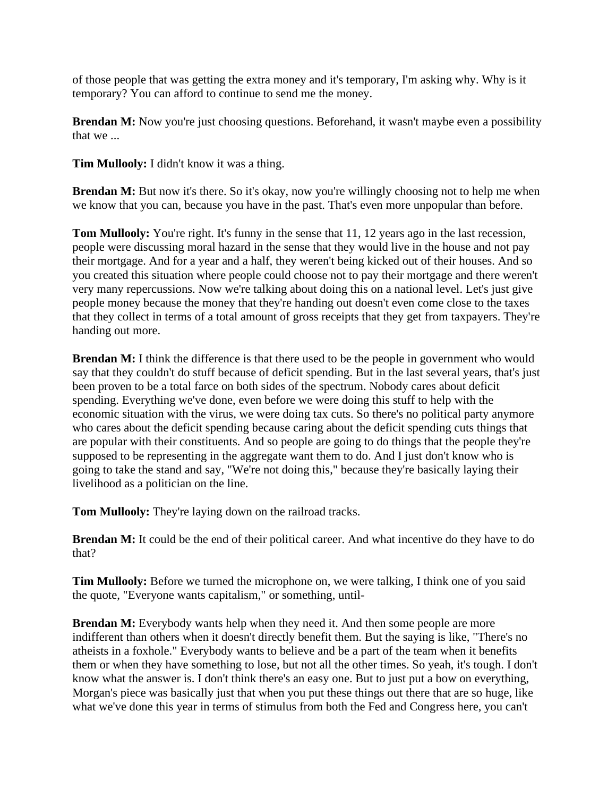of those people that was getting the extra money and it's temporary, I'm asking why. Why is it temporary? You can afford to continue to send me the money.

**Brendan M:** Now you're just choosing questions. Beforehand, it wasn't maybe even a possibility that we ...

**Tim Mullooly:** I didn't know it was a thing.

**Brendan M:** But now it's there. So it's okay, now you're willingly choosing not to help me when we know that you can, because you have in the past. That's even more unpopular than before.

**Tom Mullooly:** You're right. It's funny in the sense that 11, 12 years ago in the last recession, people were discussing moral hazard in the sense that they would live in the house and not pay their mortgage. And for a year and a half, they weren't being kicked out of their houses. And so you created this situation where people could choose not to pay their mortgage and there weren't very many repercussions. Now we're talking about doing this on a national level. Let's just give people money because the money that they're handing out doesn't even come close to the taxes that they collect in terms of a total amount of gross receipts that they get from taxpayers. They're handing out more.

**Brendan M:** I think the difference is that there used to be the people in government who would say that they couldn't do stuff because of deficit spending. But in the last several years, that's just been proven to be a total farce on both sides of the spectrum. Nobody cares about deficit spending. Everything we've done, even before we were doing this stuff to help with the economic situation with the virus, we were doing tax cuts. So there's no political party anymore who cares about the deficit spending because caring about the deficit spending cuts things that are popular with their constituents. And so people are going to do things that the people they're supposed to be representing in the aggregate want them to do. And I just don't know who is going to take the stand and say, "We're not doing this," because they're basically laying their livelihood as a politician on the line.

**Tom Mullooly:** They're laying down on the railroad tracks.

**Brendan M:** It could be the end of their political career. And what incentive do they have to do that?

**Tim Mullooly:** Before we turned the microphone on, we were talking, I think one of you said the quote, "Everyone wants capitalism," or something, until-

**Brendan M:** Everybody wants help when they need it. And then some people are more indifferent than others when it doesn't directly benefit them. But the saying is like, "There's no atheists in a foxhole." Everybody wants to believe and be a part of the team when it benefits them or when they have something to lose, but not all the other times. So yeah, it's tough. I don't know what the answer is. I don't think there's an easy one. But to just put a bow on everything, Morgan's piece was basically just that when you put these things out there that are so huge, like what we've done this year in terms of stimulus from both the Fed and Congress here, you can't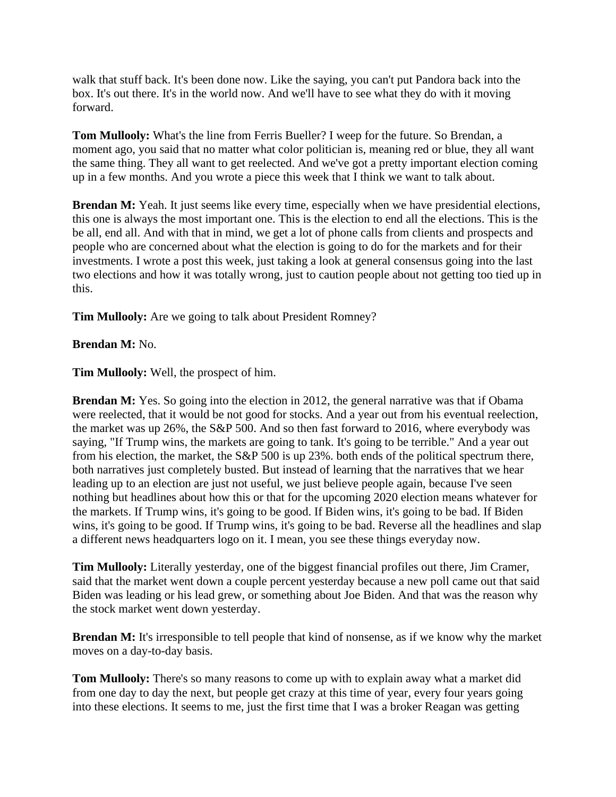walk that stuff back. It's been done now. Like the saying, you can't put Pandora back into the box. It's out there. It's in the world now. And we'll have to see what they do with it moving forward.

**Tom Mullooly:** What's the line from Ferris Bueller? I weep for the future. So Brendan, a moment ago, you said that no matter what color politician is, meaning red or blue, they all want the same thing. They all want to get reelected. And we've got a pretty important election coming up in a few months. And you wrote a piece this week that I think we want to talk about.

**Brendan M:** Yeah. It just seems like every time, especially when we have presidential elections, this one is always the most important one. This is the election to end all the elections. This is the be all, end all. And with that in mind, we get a lot of phone calls from clients and prospects and people who are concerned about what the election is going to do for the markets and for their investments. I wrote a post this week, just taking a look at general consensus going into the last two elections and how it was totally wrong, just to caution people about not getting too tied up in this.

**Tim Mullooly:** Are we going to talk about President Romney?

## **Brendan M:** No.

**Tim Mullooly:** Well, the prospect of him.

**Brendan M:** Yes. So going into the election in 2012, the general narrative was that if Obama were reelected, that it would be not good for stocks. And a year out from his eventual reelection, the market was up 26%, the S&P 500. And so then fast forward to 2016, where everybody was saying, "If Trump wins, the markets are going to tank. It's going to be terrible." And a year out from his election, the market, the S&P 500 is up 23%. both ends of the political spectrum there, both narratives just completely busted. But instead of learning that the narratives that we hear leading up to an election are just not useful, we just believe people again, because I've seen nothing but headlines about how this or that for the upcoming 2020 election means whatever for the markets. If Trump wins, it's going to be good. If Biden wins, it's going to be bad. If Biden wins, it's going to be good. If Trump wins, it's going to be bad. Reverse all the headlines and slap a different news headquarters logo on it. I mean, you see these things everyday now.

**Tim Mullooly:** Literally yesterday, one of the biggest financial profiles out there, Jim Cramer, said that the market went down a couple percent yesterday because a new poll came out that said Biden was leading or his lead grew, or something about Joe Biden. And that was the reason why the stock market went down yesterday.

**Brendan M:** It's irresponsible to tell people that kind of nonsense, as if we know why the market moves on a day-to-day basis.

**Tom Mullooly:** There's so many reasons to come up with to explain away what a market did from one day to day the next, but people get crazy at this time of year, every four years going into these elections. It seems to me, just the first time that I was a broker Reagan was getting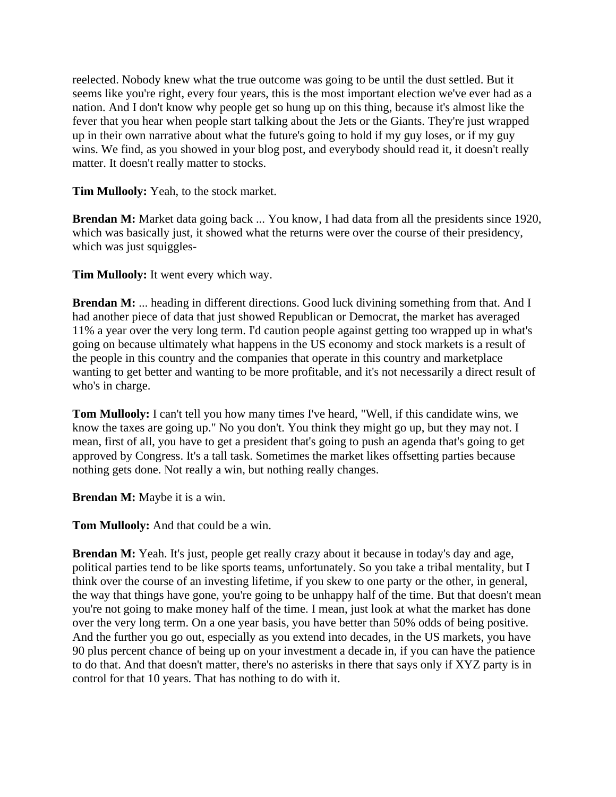reelected. Nobody knew what the true outcome was going to be until the dust settled. But it seems like you're right, every four years, this is the most important election we've ever had as a nation. And I don't know why people get so hung up on this thing, because it's almost like the fever that you hear when people start talking about the Jets or the Giants. They're just wrapped up in their own narrative about what the future's going to hold if my guy loses, or if my guy wins. We find, as you showed in your blog post, and everybody should read it, it doesn't really matter. It doesn't really matter to stocks.

**Tim Mullooly:** Yeah, to the stock market.

**Brendan M:** Market data going back ... You know, I had data from all the presidents since 1920, which was basically just, it showed what the returns were over the course of their presidency, which was just squiggles-

**Tim Mullooly:** It went every which way.

**Brendan M:** ... heading in different directions. Good luck divining something from that. And I had another piece of data that just showed Republican or Democrat, the market has averaged 11% a year over the very long term. I'd caution people against getting too wrapped up in what's going on because ultimately what happens in the US economy and stock markets is a result of the people in this country and the companies that operate in this country and marketplace wanting to get better and wanting to be more profitable, and it's not necessarily a direct result of who's in charge.

**Tom Mullooly:** I can't tell you how many times I've heard, "Well, if this candidate wins, we know the taxes are going up." No you don't. You think they might go up, but they may not. I mean, first of all, you have to get a president that's going to push an agenda that's going to get approved by Congress. It's a tall task. Sometimes the market likes offsetting parties because nothing gets done. Not really a win, but nothing really changes.

**Brendan M:** Maybe it is a win.

**Tom Mullooly:** And that could be a win.

**Brendan M:** Yeah. It's just, people get really crazy about it because in today's day and age, political parties tend to be like sports teams, unfortunately. So you take a tribal mentality, but I think over the course of an investing lifetime, if you skew to one party or the other, in general, the way that things have gone, you're going to be unhappy half of the time. But that doesn't mean you're not going to make money half of the time. I mean, just look at what the market has done over the very long term. On a one year basis, you have better than 50% odds of being positive. And the further you go out, especially as you extend into decades, in the US markets, you have 90 plus percent chance of being up on your investment a decade in, if you can have the patience to do that. And that doesn't matter, there's no asterisks in there that says only if XYZ party is in control for that 10 years. That has nothing to do with it.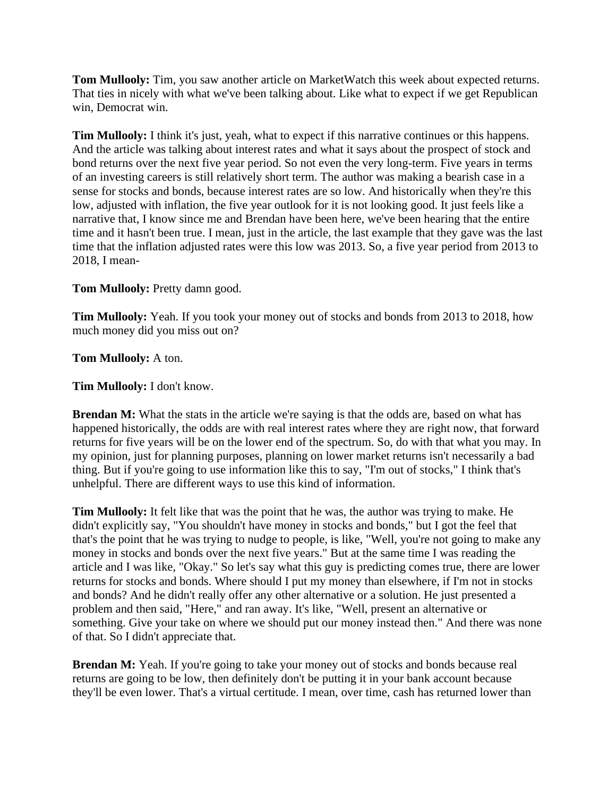**Tom Mullooly:** Tim, you saw another article on MarketWatch this week about expected returns. That ties in nicely with what we've been talking about. Like what to expect if we get Republican win, Democrat win.

**Tim Mullooly:** I think it's just, yeah, what to expect if this narrative continues or this happens. And the article was talking about interest rates and what it says about the prospect of stock and bond returns over the next five year period. So not even the very long-term. Five years in terms of an investing careers is still relatively short term. The author was making a bearish case in a sense for stocks and bonds, because interest rates are so low. And historically when they're this low, adjusted with inflation, the five year outlook for it is not looking good. It just feels like a narrative that, I know since me and Brendan have been here, we've been hearing that the entire time and it hasn't been true. I mean, just in the article, the last example that they gave was the last time that the inflation adjusted rates were this low was 2013. So, a five year period from 2013 to 2018, I mean-

**Tom Mullooly:** Pretty damn good.

**Tim Mullooly:** Yeah. If you took your money out of stocks and bonds from 2013 to 2018, how much money did you miss out on?

**Tom Mullooly:** A ton.

**Tim Mullooly:** I don't know.

**Brendan M:** What the stats in the article we're saying is that the odds are, based on what has happened historically, the odds are with real interest rates where they are right now, that forward returns for five years will be on the lower end of the spectrum. So, do with that what you may. In my opinion, just for planning purposes, planning on lower market returns isn't necessarily a bad thing. But if you're going to use information like this to say, "I'm out of stocks," I think that's unhelpful. There are different ways to use this kind of information.

**Tim Mullooly:** It felt like that was the point that he was, the author was trying to make. He didn't explicitly say, "You shouldn't have money in stocks and bonds," but I got the feel that that's the point that he was trying to nudge to people, is like, "Well, you're not going to make any money in stocks and bonds over the next five years." But at the same time I was reading the article and I was like, "Okay." So let's say what this guy is predicting comes true, there are lower returns for stocks and bonds. Where should I put my money than elsewhere, if I'm not in stocks and bonds? And he didn't really offer any other alternative or a solution. He just presented a problem and then said, "Here," and ran away. It's like, "Well, present an alternative or something. Give your take on where we should put our money instead then." And there was none of that. So I didn't appreciate that.

**Brendan M:** Yeah. If you're going to take your money out of stocks and bonds because real returns are going to be low, then definitely don't be putting it in your bank account because they'll be even lower. That's a virtual certitude. I mean, over time, cash has returned lower than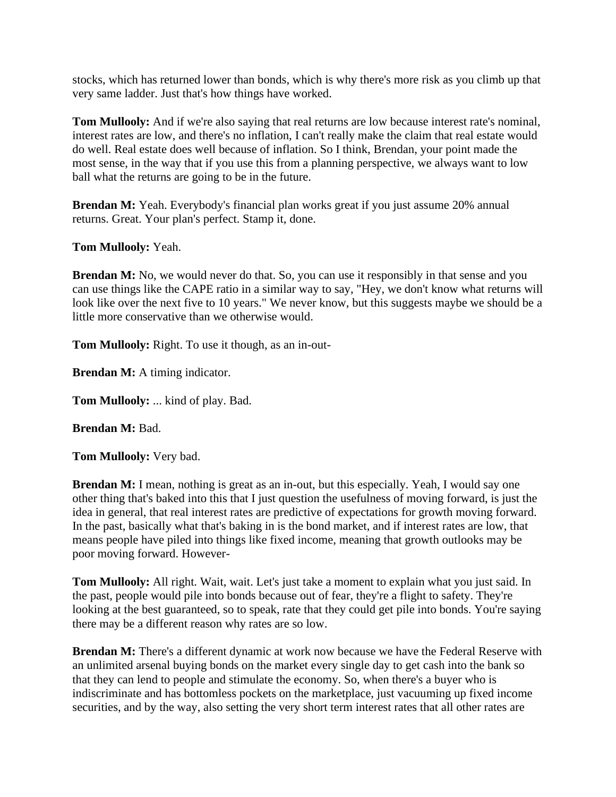stocks, which has returned lower than bonds, which is why there's more risk as you climb up that very same ladder. Just that's how things have worked.

**Tom Mullooly:** And if we're also saying that real returns are low because interest rate's nominal, interest rates are low, and there's no inflation, I can't really make the claim that real estate would do well. Real estate does well because of inflation. So I think, Brendan, your point made the most sense, in the way that if you use this from a planning perspective, we always want to low ball what the returns are going to be in the future.

**Brendan M:** Yeah. Everybody's financial plan works great if you just assume 20% annual returns. Great. Your plan's perfect. Stamp it, done.

**Tom Mullooly:** Yeah.

**Brendan M:** No, we would never do that. So, you can use it responsibly in that sense and you can use things like the CAPE ratio in a similar way to say, "Hey, we don't know what returns will look like over the next five to 10 years." We never know, but this suggests maybe we should be a little more conservative than we otherwise would.

**Tom Mullooly:** Right. To use it though, as an in-out-

**Brendan M:** A timing indicator.

**Tom Mullooly:** ... kind of play. Bad.

**Brendan M:** Bad.

**Tom Mullooly:** Very bad.

**Brendan M:** I mean, nothing is great as an in-out, but this especially. Yeah, I would say one other thing that's baked into this that I just question the usefulness of moving forward, is just the idea in general, that real interest rates are predictive of expectations for growth moving forward. In the past, basically what that's baking in is the bond market, and if interest rates are low, that means people have piled into things like fixed income, meaning that growth outlooks may be poor moving forward. However-

**Tom Mullooly:** All right. Wait, wait. Let's just take a moment to explain what you just said. In the past, people would pile into bonds because out of fear, they're a flight to safety. They're looking at the best guaranteed, so to speak, rate that they could get pile into bonds. You're saying there may be a different reason why rates are so low.

**Brendan M:** There's a different dynamic at work now because we have the Federal Reserve with an unlimited arsenal buying bonds on the market every single day to get cash into the bank so that they can lend to people and stimulate the economy. So, when there's a buyer who is indiscriminate and has bottomless pockets on the marketplace, just vacuuming up fixed income securities, and by the way, also setting the very short term interest rates that all other rates are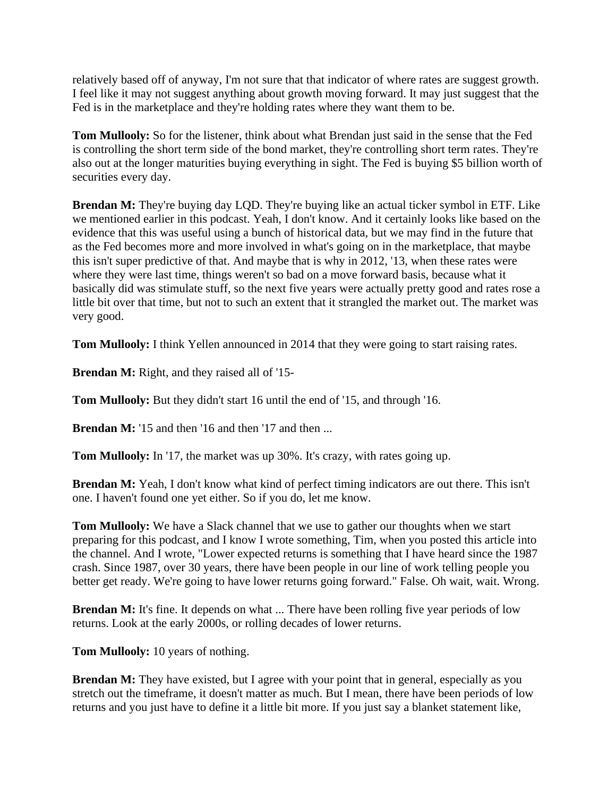relatively based off of anyway, I'm not sure that that indicator of where rates are suggest growth. I feel like it may not suggest anything about growth moving forward. It may just suggest that the Fed is in the marketplace and they're holding rates where they want them to be.

**Tom Mullooly:** So for the listener, think about what Brendan just said in the sense that the Fed is controlling the short term side of the bond market, they're controlling short term rates. They're also out at the longer maturities buying everything in sight. The Fed is buying \$5 billion worth of securities every day.

**Brendan M:** They're buying day LQD. They're buying like an actual ticker symbol in ETF. Like we mentioned earlier in this podcast. Yeah, I don't know. And it certainly looks like based on the evidence that this was useful using a bunch of historical data, but we may find in the future that as the Fed becomes more and more involved in what's going on in the marketplace, that maybe this isn't super predictive of that. And maybe that is why in 2012, '13, when these rates were where they were last time, things weren't so bad on a move forward basis, because what it basically did was stimulate stuff, so the next five years were actually pretty good and rates rose a little bit over that time, but not to such an extent that it strangled the market out. The market was very good.

**Tom Mullooly:** I think Yellen announced in 2014 that they were going to start raising rates.

**Brendan M:** Right, and they raised all of '15-

**Tom Mullooly:** But they didn't start 16 until the end of '15, and through '16.

**Brendan M:** '15 and then '16 and then '17 and then ...

**Tom Mullooly:** In '17, the market was up 30%. It's crazy, with rates going up.

**Brendan M:** Yeah, I don't know what kind of perfect timing indicators are out there. This isn't one. I haven't found one yet either. So if you do, let me know.

**Tom Mullooly:** We have a Slack channel that we use to gather our thoughts when we start preparing for this podcast, and I know I wrote something, Tim, when you posted this article into the channel. And I wrote, "Lower expected returns is something that I have heard since the 1987 crash. Since 1987, over 30 years, there have been people in our line of work telling people you better get ready. We're going to have lower returns going forward." False. Oh wait, wait. Wrong.

**Brendan M:** It's fine. It depends on what ... There have been rolling five year periods of low returns. Look at the early 2000s, or rolling decades of lower returns.

**Tom Mullooly:** 10 years of nothing.

**Brendan M:** They have existed, but I agree with your point that in general, especially as you stretch out the timeframe, it doesn't matter as much. But I mean, there have been periods of low returns and you just have to define it a little bit more. If you just say a blanket statement like,